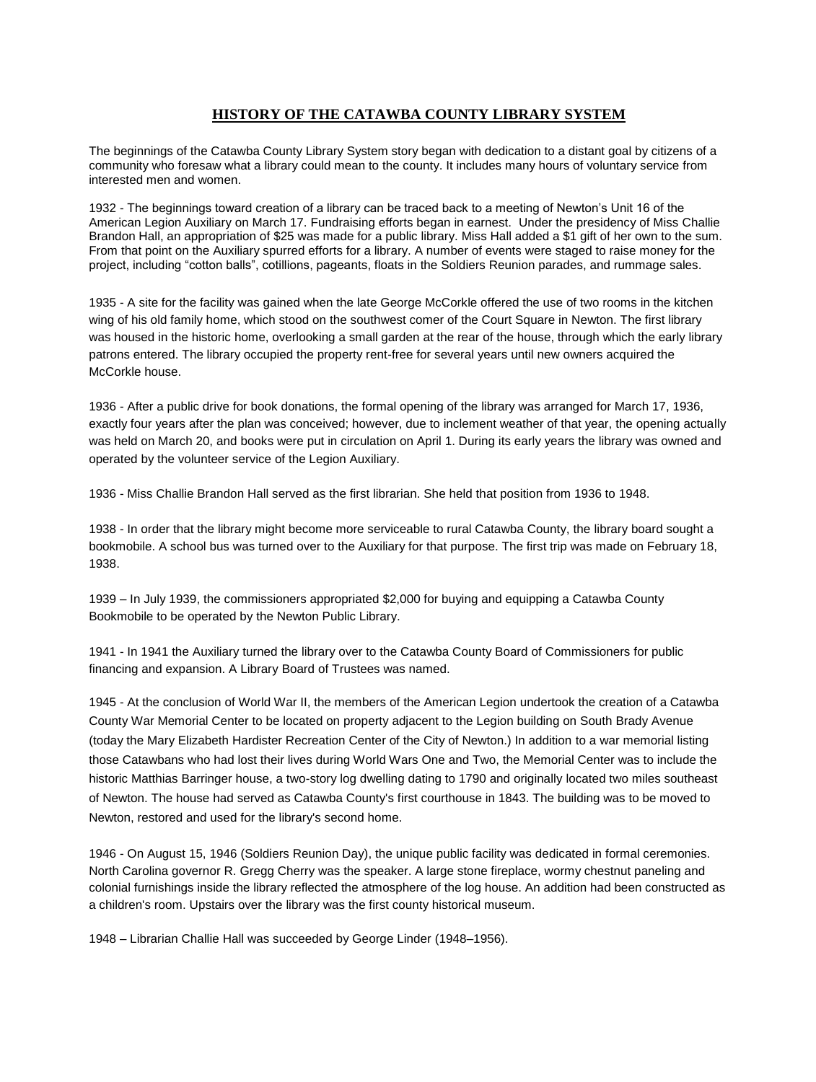## **HISTORY OF THE CATAWBA COUNTY LIBRARY SYSTEM**

The beginnings of the Catawba County Library System story began with dedication to a distant goal by citizens of a community who foresaw what a library could mean to the county. It includes many hours of voluntary service from interested men and women.

1932 - The beginnings toward creation of a library can be traced back to a meeting of Newton's Unit 16 of the American Legion Auxiliary on March 17. Fundraising efforts began in earnest. Under the presidency of Miss Challie Brandon Hall, an appropriation of \$25 was made for a public library. Miss Hall added a \$1 gift of her own to the sum. From that point on the Auxiliary spurred efforts for a library. A number of events were staged to raise money for the project, including "cotton balls", cotillions, pageants, floats in the Soldiers Reunion parades, and rummage sales.

1935 - A site for the facility was gained when the late George McCorkle offered the use of two rooms in the kitchen wing of his old family home, which stood on the southwest comer of the Court Square in Newton. The first library was housed in the historic home, overlooking a small garden at the rear of the house, through which the early library patrons entered. The library occupied the property rent-free for several years until new owners acquired the McCorkle house.

1936 - After a public drive for book donations, the formal opening of the library was arranged for March 17, 1936, exactly four years after the plan was conceived; however, due to inclement weather of that year, the opening actually was held on March 20, and books were put in circulation on April 1. During its early years the library was owned and operated by the volunteer service of the Legion Auxiliary.

1936 - Miss Challie Brandon Hall served as the first librarian. She held that position from 1936 to 1948.

1938 - In order that the library might become more serviceable to rural Catawba County, the library board sought a bookmobile. A school bus was turned over to the Auxiliary for that purpose. The first trip was made on February 18, 1938.

1939 – In July 1939, the commissioners appropriated \$2,000 for buying and equipping a Catawba County Bookmobile to be operated by the Newton Public Library.

1941 - In 1941 the Auxiliary turned the library over to the Catawba County Board of Commissioners for public financing and expansion. A Library Board of Trustees was named.

1945 - At the conclusion of World War II, the members of the American Legion undertook the creation of a Catawba County War Memorial Center to be located on property adjacent to the Legion building on South Brady Avenue (today the Mary Elizabeth Hardister Recreation Center of the City of Newton.) In addition to a war memorial listing those Catawbans who had lost their lives during World Wars One and Two, the Memorial Center was to include the historic Matthias Barringer house, a two-story log dwelling dating to 1790 and originally located two miles southeast of Newton. The house had served as Catawba County's first courthouse in 1843. The building was to be moved to Newton, restored and used for the library's second home.

1946 - On August 15, 1946 (Soldiers Reunion Day), the unique public facility was dedicated in formal ceremonies. North Carolina governor R. Gregg Cherry was the speaker. A large stone fireplace, wormy chestnut paneling and colonial furnishings inside the library reflected the atmosphere of the log house. An addition had been constructed as a children's room. Upstairs over the library was the first county historical museum.

1948 – Librarian Challie Hall was succeeded by George Linder (1948–1956).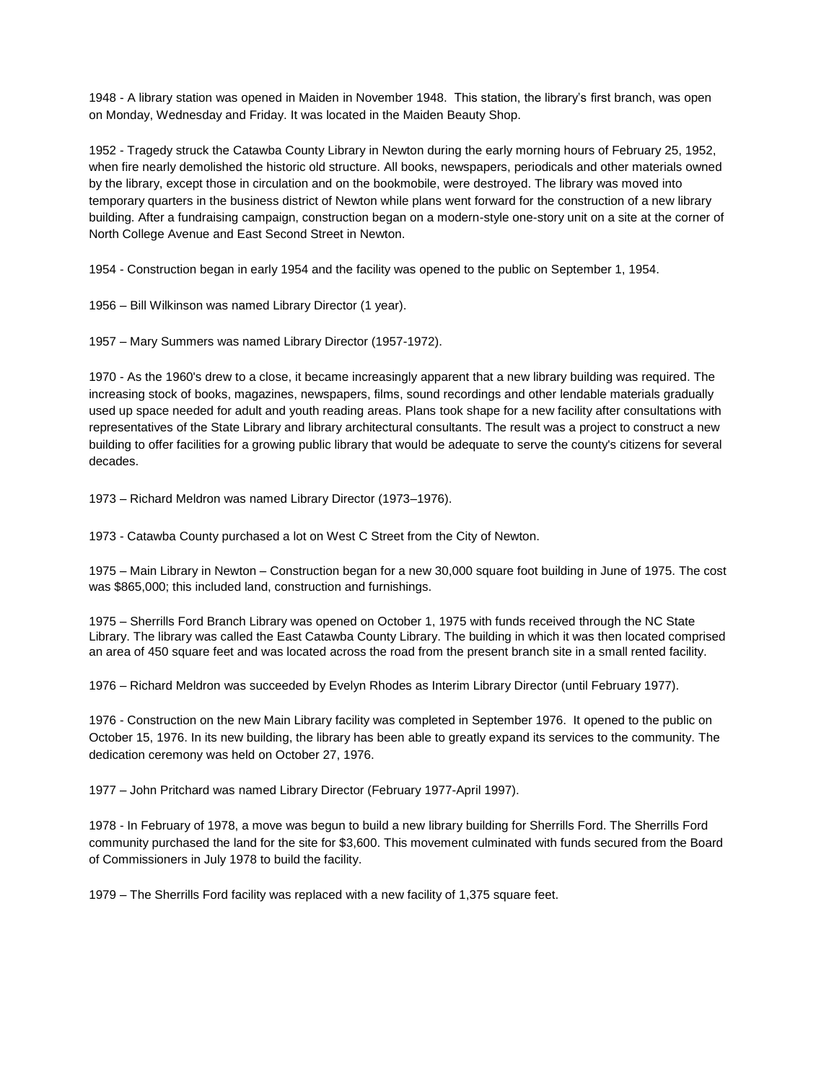1948 - A library station was opened in Maiden in November 1948. This station, the library's first branch, was open on Monday, Wednesday and Friday. It was located in the Maiden Beauty Shop.

1952 - Tragedy struck the Catawba County Library in Newton during the early morning hours of February 25, 1952, when fire nearly demolished the historic old structure. All books, newspapers, periodicals and other materials owned by the library, except those in circulation and on the bookmobile, were destroyed. The library was moved into temporary quarters in the business district of Newton while plans went forward for the construction of a new library building. After a fundraising campaign, construction began on a modern-style one-story unit on a site at the corner of North College Avenue and East Second Street in Newton.

1954 - Construction began in early 1954 and the facility was opened to the public on September 1, 1954.

1956 – Bill Wilkinson was named Library Director (1 year).

1957 – Mary Summers was named Library Director (1957-1972).

1970 - As the 1960's drew to a close, it became increasingly apparent that a new library building was required. The increasing stock of books, magazines, newspapers, films, sound recordings and other lendable materials gradually used up space needed for adult and youth reading areas. Plans took shape for a new facility after consultations with representatives of the State Library and library architectural consultants. The result was a project to construct a new building to offer facilities for a growing public library that would be adequate to serve the county's citizens for several decades.

1973 – Richard Meldron was named Library Director (1973–1976).

1973 - Catawba County purchased a lot on West C Street from the City of Newton.

1975 – Main Library in Newton – Construction began for a new 30,000 square foot building in June of 1975. The cost was \$865,000; this included land, construction and furnishings.

1975 – Sherrills Ford Branch Library was opened on October 1, 1975 with funds received through the NC State Library. The library was called the East Catawba County Library. The building in which it was then located comprised an area of 450 square feet and was located across the road from the present branch site in a small rented facility.

1976 – Richard Meldron was succeeded by Evelyn Rhodes as Interim Library Director (until February 1977).

1976 - Construction on the new Main Library facility was completed in September 1976. It opened to the public on October 15, 1976. In its new building, the library has been able to greatly expand its services to the community. The dedication ceremony was held on October 27, 1976.

1977 – John Pritchard was named Library Director (February 1977-April 1997).

1978 - In February of 1978, a move was begun to build a new library building for Sherrills Ford. The Sherrills Ford community purchased the land for the site for \$3,600. This movement culminated with funds secured from the Board of Commissioners in July 1978 to build the facility.

1979 – The Sherrills Ford facility was replaced with a new facility of 1,375 square feet.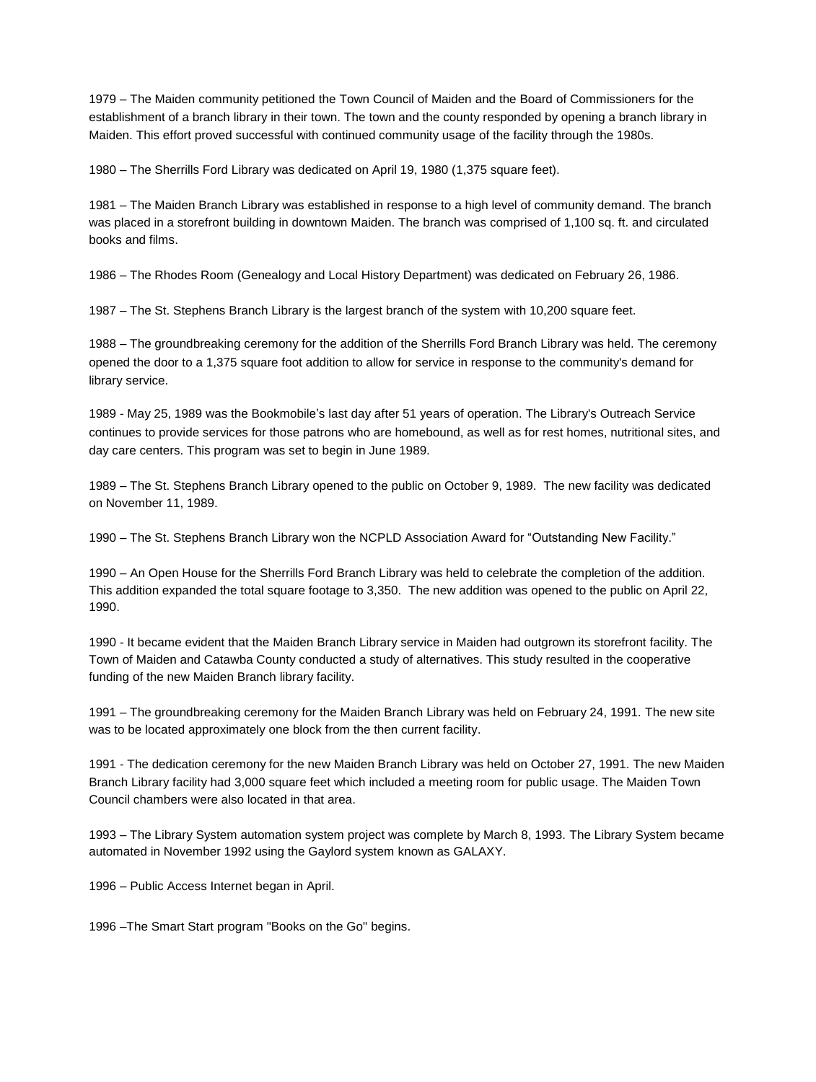1979 – The Maiden community petitioned the Town Council of Maiden and the Board of Commissioners for the establishment of a branch library in their town. The town and the county responded by opening a branch library in Maiden. This effort proved successful with continued community usage of the facility through the 1980s.

1980 – The Sherrills Ford Library was dedicated on April 19, 1980 (1,375 square feet).

1981 – The Maiden Branch Library was established in response to a high level of community demand. The branch was placed in a storefront building in downtown Maiden. The branch was comprised of 1,100 sq. ft. and circulated books and films.

1986 – The Rhodes Room (Genealogy and Local History Department) was dedicated on February 26, 1986.

1987 – The St. Stephens Branch Library is the largest branch of the system with 10,200 square feet.

1988 – The groundbreaking ceremony for the addition of the Sherrills Ford Branch Library was held. The ceremony opened the door to a 1,375 square foot addition to allow for service in response to the community's demand for library service.

1989 - May 25, 1989 was the Bookmobile's last day after 51 years of operation. The Library's Outreach Service continues to provide services for those patrons who are homebound, as well as for rest homes, nutritional sites, and day care centers. This program was set to begin in June 1989.

1989 – The St. Stephens Branch Library opened to the public on October 9, 1989. The new facility was dedicated on November 11, 1989.

1990 – The St. Stephens Branch Library won the NCPLD Association Award for "Outstanding New Facility."

1990 – An Open House for the Sherrills Ford Branch Library was held to celebrate the completion of the addition. This addition expanded the total square footage to 3,350. The new addition was opened to the public on April 22, 1990.

1990 - It became evident that the Maiden Branch Library service in Maiden had outgrown its storefront facility. The Town of Maiden and Catawba County conducted a study of alternatives. This study resulted in the cooperative funding of the new Maiden Branch library facility.

1991 – The groundbreaking ceremony for the Maiden Branch Library was held on February 24, 1991. The new site was to be located approximately one block from the then current facility.

1991 - The dedication ceremony for the new Maiden Branch Library was held on October 27, 1991. The new Maiden Branch Library facility had 3,000 square feet which included a meeting room for public usage. The Maiden Town Council chambers were also located in that area.

1993 – The Library System automation system project was complete by March 8, 1993. The Library System became automated in November 1992 using the Gaylord system known as GALAXY.

1996 – Public Access Internet began in April.

1996 –The Smart Start program "Books on the Go" begins.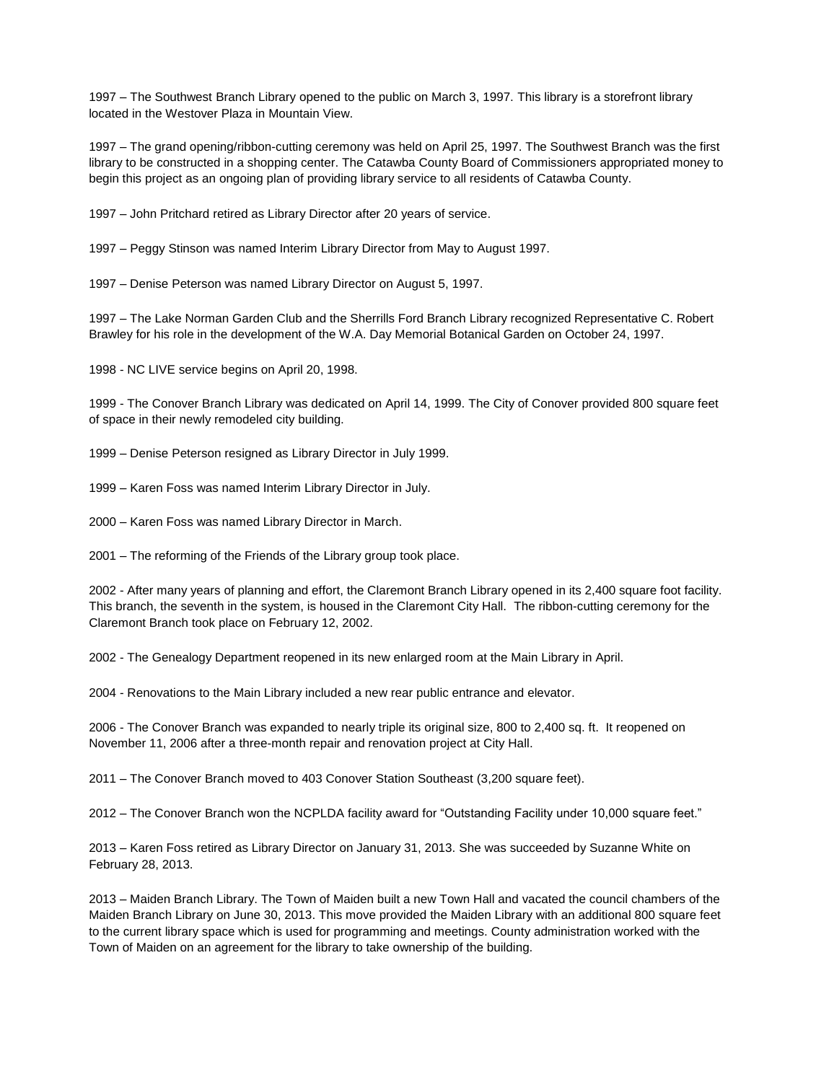1997 – The Southwest Branch Library opened to the public on March 3, 1997. This library is a storefront library located in the Westover Plaza in Mountain View.

1997 – The grand opening/ribbon-cutting ceremony was held on April 25, 1997. The Southwest Branch was the first library to be constructed in a shopping center. The Catawba County Board of Commissioners appropriated money to begin this project as an ongoing plan of providing library service to all residents of Catawba County.

1997 – John Pritchard retired as Library Director after 20 years of service.

1997 – Peggy Stinson was named Interim Library Director from May to August 1997.

1997 – Denise Peterson was named Library Director on August 5, 1997.

1997 – The Lake Norman Garden Club and the Sherrills Ford Branch Library recognized Representative C. Robert Brawley for his role in the development of the W.A. Day Memorial Botanical Garden on October 24, 1997.

1998 - NC LIVE service begins on April 20, 1998.

1999 - The Conover Branch Library was dedicated on April 14, 1999. The City of Conover provided 800 square feet of space in their newly remodeled city building.

1999 – Denise Peterson resigned as Library Director in July 1999.

1999 – Karen Foss was named Interim Library Director in July.

2000 – Karen Foss was named Library Director in March.

2001 – The reforming of the Friends of the Library group took place.

2002 - After many years of planning and effort, the Claremont Branch Library opened in its 2,400 square foot facility. This branch, the seventh in the system, is housed in the Claremont City Hall. The ribbon-cutting ceremony for the Claremont Branch took place on February 12, 2002.

2002 - The Genealogy Department reopened in its new enlarged room at the Main Library in April.

2004 - Renovations to the Main Library included a new rear public entrance and elevator.

2006 - The Conover Branch was expanded to nearly triple its original size, 800 to 2,400 sq. ft. It reopened on November 11, 2006 after a three-month repair and renovation project at City Hall.

2011 – The Conover Branch moved to 403 Conover Station Southeast (3,200 square feet).

2012 – The Conover Branch won the NCPLDA facility award for "Outstanding Facility under 10,000 square feet."

2013 – Karen Foss retired as Library Director on January 31, 2013. She was succeeded by Suzanne White on February 28, 2013.

2013 – Maiden Branch Library. The Town of Maiden built a new Town Hall and vacated the council chambers of the Maiden Branch Library on June 30, 2013. This move provided the Maiden Library with an additional 800 square feet to the current library space which is used for programming and meetings. County administration worked with the Town of Maiden on an agreement for the library to take ownership of the building.